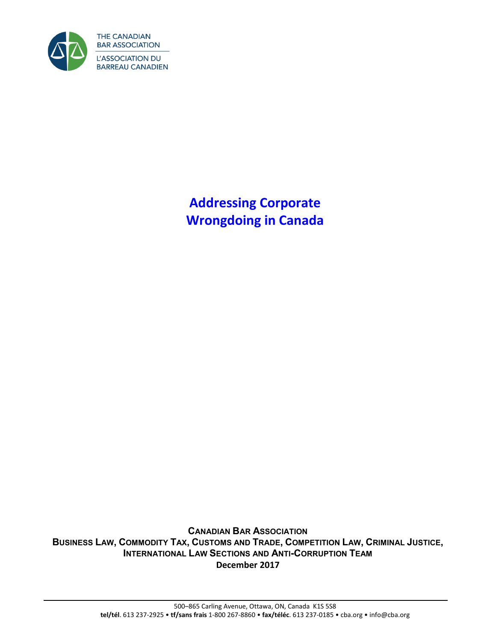

**Addressing Corporate Wrongdoing in Canada** 

**CANADIAN BAR ASSOCIATION** BUSINESS LAW, COMMODITY TAX, CUSTOMS AND TRADE, COMPETITION LAW, CRIMINAL JUSTICE, **INTERNATIONAL LAW SECTIONS AND ANTI-CORRUPTION TEAM December 2017**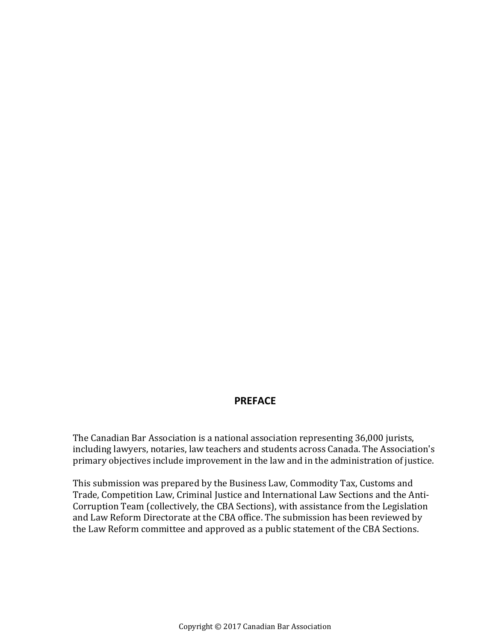## **PREFACE**

The Canadian Bar Association is a national association representing 36,000 jurists, including lawyers, notaries, law teachers and students across Canada. The Association's primary objectives include improvement in the law and in the administration of justice.

This submission was prepared by the Business Law, Commodity Tax, Customs and Trade, Competition Law, Criminal Justice and International Law Sections and the Anti-Corruption Team (collectively, the CBA Sections), with assistance from the Legislation and Law Reform Directorate at the CBA office. The submission has been reviewed by the Law Reform committee and approved as a public statement of the CBA Sections.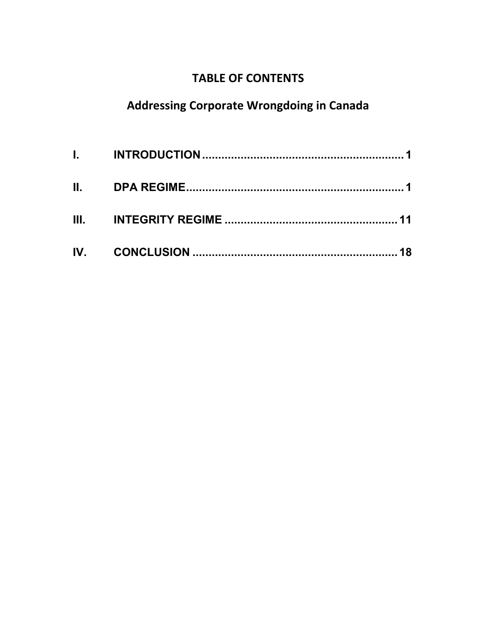## **TABLE OF CONTENTS**

## **Addressing Corporate Wrongdoing in Canada**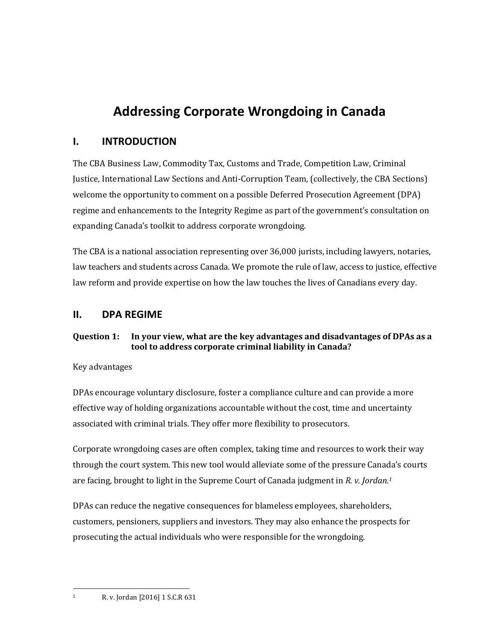# **Addressing Corporate Wrongdoing in Canada**

## <span id="page-4-0"></span>**I. INTRODUCTION**

The CBA Business Law, Commodity Tax, Customs and Trade, Competition Law, Criminal Justice, International Law Sections and Anti-Corruption Team, (collectively, the CBA Sections) welcome the opportunity to comment on a possible Deferred Prosecution Agreement (DPA) regime and enhancements to the Integrity Regime as part of the government's consultation on expanding Canada's toolkit to address corporate wrongdoing.

The CBA is a national association representing over 36,000 jurists, including lawyers, notaries, law teachers and students across Canada. We promote the rule of law, access to justice, effective law reform and provide expertise on how the law touches the lives of Canadians every day.

## <span id="page-4-1"></span>**II. DPA REGIME**

#### **Question 1: In your view, what are the key advantages and disadvantages of DPAs as a tool to address corporate criminal liability in Canada?**

Key advantages

DPAs encourage voluntary disclosure, foster a compliance culture and can provide a more effective way of holding organizations accountable without the cost, time and uncertainty associated with criminal trials. They offer more flexibility to prosecutors.

Corporate wrongdoing cases are often complex, taking time and resources to work their way through the court system. This new tool would alleviate some of the pressure Canada's courts are facing, brought to light in the Supreme Court of Canada judgment in *R. v. Jordan.<sup>1</sup>*

DPAs can reduce the negative consequences for blameless employees, shareholders, customers, pensioners, suppliers and investors. They may also enhance the prospects for prosecuting the actual individuals who were responsible for the wrongdoing.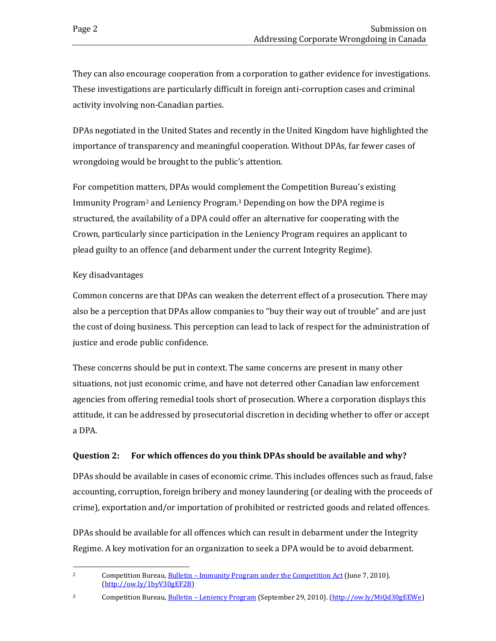They can also encourage cooperation from a corporation to gather evidence for investigations. These investigations are particularly difficult in foreign anti-corruption cases and criminal activity involving non-Canadian parties.

DPAs negotiated in the United States and recently in the United Kingdom have highlighted the importance of transparency and meaningful cooperation. Without DPAs, far fewer cases of wrongdoing would be brought to the public's attention.

For competition matters, DPAs would complement the Competition Bureau's existing Immunity Program2 and Leniency Program.3 Depending on how the DPA regime is structured, the availability of a DPA could offer an alternative for cooperating with the Crown, particularly since participation in the Leniency Program requires an applicant to plead guilty to an offence (and debarment under the current Integrity Regime).

#### Key disadvantages

Common concerns are that DPAs can weaken the deterrent effect of a prosecution. There may also be a perception that DPAs allow companies to "buy their way out of trouble" and are just the cost of doing business. This perception can lead to lack of respect for the administration of justice and erode public confidence.

These concerns should be put in context. The same concerns are present in many other situations, not just economic crime, and have not deterred other Canadian law enforcement agencies from offering remedial tools short of prosecution. Where a corporation displays this attitude, it can be addressed by prosecutorial discretion in deciding whether to offer or accept a DPA.

#### **Question 2: For which offences do you think DPAs should be available and why?**

DPAs should be available in cases of economic crime. This includes offences such as fraud, false accounting, corruption, foreign bribery and money laundering (or dealing with the proceeds of crime), exportation and/or importation of prohibited or restricted goods and related offences.

DPAs should be available for all offences which can result in debarment under the Integrity Regime. A key motivation for an organization to seek a DPA would be to avoid debarment.

 $\overline{a}$ <sup>2</sup> Competition Bureau, <u>Bulletin – Immunity Program under the Competition Act</u> (June 7, 2010). [\(http://ow.ly/1byV30gEF2B\)](http://ow.ly/1byV30gEF2B)

<sup>3</sup> Competition Bureau, Bulletin – [Leniency Program \(](file:///C:/Users/marcao/AppData/Local/Microsoft/Windows/Temporary%20Internet%20Files/Content.Outlook/HRVPYLAO/Bulletin%20–%20Leniency%20Program)September 29, 2010). [\(http://ow.ly/MiQd30gEEWe\)](http://ow.ly/MiQd30gEEWe)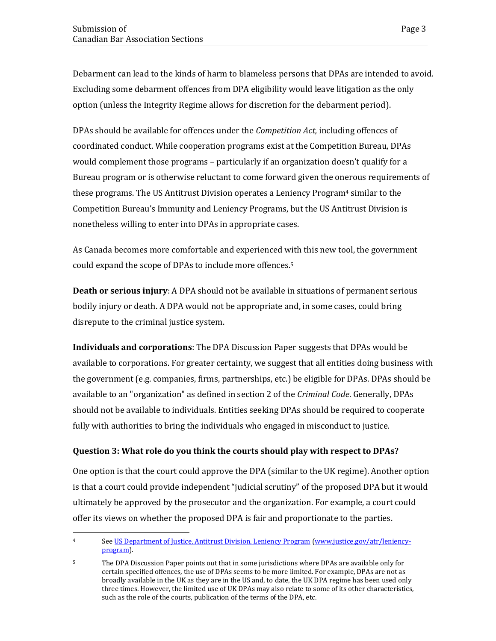Debarment can lead to the kinds of harm to blameless persons that DPAs are intended to avoid. Excluding some debarment offences from DPA eligibility would leave litigation as the only option (unless the Integrity Regime allows for discretion for the debarment period).

DPAs should be available for offences under the *Competition Act,* including offences of coordinated conduct. While cooperation programs exist at the Competition Bureau, DPAs would complement those programs – particularly if an organization doesn't qualify for a Bureau program or is otherwise reluctant to come forward given the onerous requirements of these programs. The US Antitrust Division operates a Leniency Program<sup>4</sup> similar to the Competition Bureau's Immunity and Leniency Programs, but the US Antitrust Division is nonetheless willing to enter into DPAs in appropriate cases.

As Canada becomes more comfortable and experienced with this new tool, the government could expand the scope of DPAs to include more offences.<sup>5</sup>

**Death or serious injury**: A DPA should not be available in situations of permanent serious bodily injury or death. A DPA would not be appropriate and, in some cases, could bring disrepute to the criminal justice system.

**Individuals and corporations**: The DPA Discussion Paper suggests that DPAs would be available to corporations. For greater certainty, we suggest that all entities doing business with the government (e.g. companies, firms, partnerships, etc.) be eligible for DPAs. DPAs should be available to an "organization" as defined in section 2 of the *Criminal Code*. Generally, DPAs should not be available to individuals. Entities seeking DPAs should be required to cooperate fully with authorities to bring the individuals who engaged in misconduct to justice.

#### **Question 3: What role do you think the courts should play with respect to DPAs?**

One option is that the court could approve the DPA (similar to the UK regime). Another option is that a court could provide independent "judicial scrutiny" of the proposed DPA but it would ultimately be approved by the prosecutor and the organization. For example, a court could offer its views on whether the proposed DPA is fair and proportionate to the parties.

l 4 See US Department of Justice, Antitrust Division, Leniency Program [\(www.justice.gov/atr/leniency](http://www.justice.gov/atr/leniency-program)[program\)](http://www.justice.gov/atr/leniency-program).

<sup>&</sup>lt;sup>5</sup> The DPA Discussion Paper points out that in some jurisdictions where DPAs are available only for certain specified offences, the use of DPAs seems to be more limited. For example, DPAs are not as broadly available in the UK as they are in the US and, to date, the UK DPA regime has been used only three times. However, the limited use of UK DPAs may also relate to some of its other characteristics, such as the role of the courts, publication of the terms of the DPA, etc.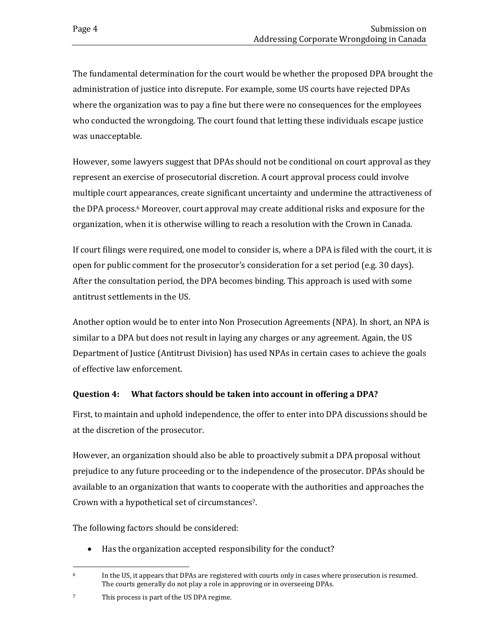The fundamental determination for the court would be whether the proposed DPA brought the administration of justice into disrepute. For example, some US courts have rejected DPAs where the organization was to pay a fine but there were no consequences for the employees who conducted the wrongdoing. The court found that letting these individuals escape justice was unacceptable.

However, some lawyers suggest that DPAs should not be conditional on court approval as they represent an exercise of prosecutorial discretion. A court approval process could involve multiple court appearances, create significant uncertainty and undermine the attractiveness of the DPA process.6 Moreover, court approval may create additional risks and exposure for the organization, when it is otherwise willing to reach a resolution with the Crown in Canada.

If court filings were required, one model to consider is, where a DPA is filed with the court, it is open for public comment for the prosecutor's consideration for a set period (e.g. 30 days). After the consultation period, the DPA becomes binding. This approach is used with some antitrust settlements in the US.

Another option would be to enter into Non Prosecution Agreements (NPA). In short, an NPA is similar to a DPA but does not result in laying any charges or any agreement. Again, the US Department of Justice (Antitrust Division) has used NPAs in certain cases to achieve the goals of effective law enforcement.

#### **Question 4: What factors should be taken into account in offering a DPA?**

First, to maintain and uphold independence, the offer to enter into DPA discussions should be at the discretion of the prosecutor.

However, an organization should also be able to proactively submit a DPA proposal without prejudice to any future proceeding or to the independence of the prosecutor. DPAs should be available to an organization that wants to cooperate with the authorities and approaches the Crown with a hypothetical set of circumstances7.

The following factors should be considered:

Has the organization accepted responsibility for the conduct?

 $\overline{a}$  $6 \text{ In the US, it appears that DPAs are registered with courts only in cases where prosecution is resumed.}$ The courts generally do not play a role in approving or in overseeing DPAs.

<sup>7</sup> This process is part of the US DPA regime.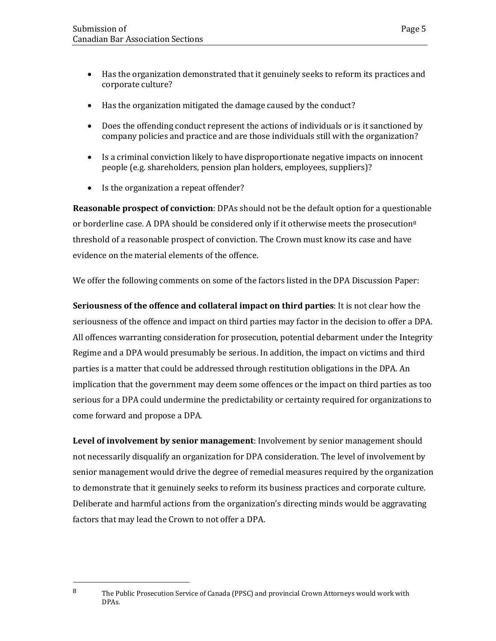- Has the organization demonstrated that it genuinely seeks to reform its practices and corporate culture?
- Has the organization mitigated the damage caused by the conduct?
- Does the offending conduct represent the actions of individuals or is it sanctioned by company policies and practice and are those individuals still with the organization?
- Is a criminal conviction likely to have disproportionate negative impacts on innocent people (e.g. shareholders, pension plan holders, employees, suppliers)?
- Is the organization a repeat offender?

 $\overline{a}$ 

**Reasonable prospect of conviction**: DPAs should not be the default option for a questionable or borderline case. A DPA should be considered only if it otherwise meets the prosecution<sup>8</sup> threshold of a reasonable prospect of conviction. The Crown must know its case and have evidence on the material elements of the offence.

We offer the following comments on some of the factors listed in the DPA Discussion Paper:

**Seriousness of the offence and collateral impact on third parties**: It is not clear how the seriousness of the offence and impact on third parties may factor in the decision to offer a DPA. All offences warranting consideration for prosecution, potential debarment under the Integrity Regime and a DPA would presumably be serious. In addition, the impact on victims and third parties is a matter that could be addressed through restitution obligations in the DPA. An implication that the government may deem some offences or the impact on third parties as too serious for a DPA could undermine the predictability or certainty required for organizations to come forward and propose a DPA.

**Level of involvement by senior management**: Involvement by senior management should not necessarily disqualify an organization for DPA consideration. The level of involvement by senior management would drive the degree of remedial measures required by the organization to demonstrate that it genuinely seeks to reform its business practices and corporate culture. Deliberate and harmful actions from the organization's directing minds would be aggravating factors that may lead the Crown to not offer a DPA.

<sup>&</sup>lt;sup>8</sup> The Public Prosecution Service of Canada (PPSC) and provincial Crown Attorneys would work with DPAs.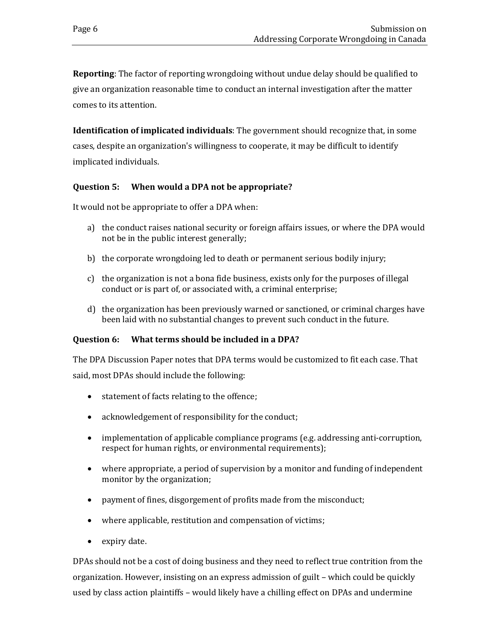**Reporting**: The factor of reporting wrongdoing without undue delay should be qualified to give an organization reasonable time to conduct an internal investigation after the matter comes to its attention.

**Identification of implicated individuals**: The government should recognize that, in some cases, despite an organization's willingness to cooperate, it may be difficult to identify implicated individuals.

#### **Question 5: When would a DPA not be appropriate?**

It would not be appropriate to offer a DPA when:

- a) the conduct raises national security or foreign affairs issues, or where the DPA would not be in the public interest generally;
- b) the corporate wrongdoing led to death or permanent serious bodily injury;
- c) the organization is not a bona fide business, exists only for the purposes of illegal conduct or is part of, or associated with, a criminal enterprise;
- d) the organization has been previously warned or sanctioned, or criminal charges have been laid with no substantial changes to prevent such conduct in the future.

#### **Question 6: What terms should be included in a DPA?**

The DPA Discussion Paper notes that DPA terms would be customized to fit each case. That said, most DPAs should include the following:

- statement of facts relating to the offence;
- acknowledgement of responsibility for the conduct;
- implementation of applicable compliance programs (e.g. addressing anti-corruption, respect for human rights, or environmental requirements);
- where appropriate, a period of supervision by a monitor and funding of independent monitor by the organization;
- payment of fines, disgorgement of profits made from the misconduct;
- where applicable, restitution and compensation of victims;
- expiry date.

DPAs should not be a cost of doing business and they need to reflect true contrition from the organization. However, insisting on an express admission of guilt – which could be quickly used by class action plaintiffs – would likely have a chilling effect on DPAs and undermine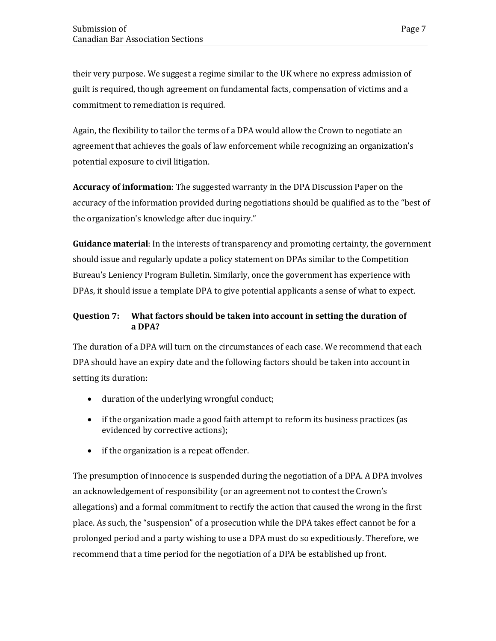their very purpose. We suggest a regime similar to the UK where no express admission of guilt is required, though agreement on fundamental facts, compensation of victims and a commitment to remediation is required.

Again, the flexibility to tailor the terms of a DPA would allow the Crown to negotiate an agreement that achieves the goals of law enforcement while recognizing an organization's potential exposure to civil litigation.

**Accuracy of information**: The suggested warranty in the DPA Discussion Paper on the accuracy of the information provided during negotiations should be qualified as to the "best of the organization's knowledge after due inquiry."

**Guidance material**: In the interests of transparency and promoting certainty, the government should issue and regularly update a policy statement on DPAs similar to the Competition Bureau's Leniency Program Bulletin. Similarly, once the government has experience with DPAs, it should issue a template DPA to give potential applicants a sense of what to expect.

#### **Question 7: What factors should be taken into account in setting the duration of a DPA?**

The duration of a DPA will turn on the circumstances of each case. We recommend that each DPA should have an expiry date and the following factors should be taken into account in setting its duration:

- duration of the underlying wrongful conduct;
- if the organization made a good faith attempt to reform its business practices (as evidenced by corrective actions);
- if the organization is a repeat offender.

The presumption of innocence is suspended during the negotiation of a DPA. A DPA involves an acknowledgement of responsibility (or an agreement not to contest the Crown's allegations) and a formal commitment to rectify the action that caused the wrong in the first place. As such, the "suspension" of a prosecution while the DPA takes effect cannot be for a prolonged period and a party wishing to use a DPA must do so expeditiously. Therefore, we recommend that a time period for the negotiation of a DPA be established up front.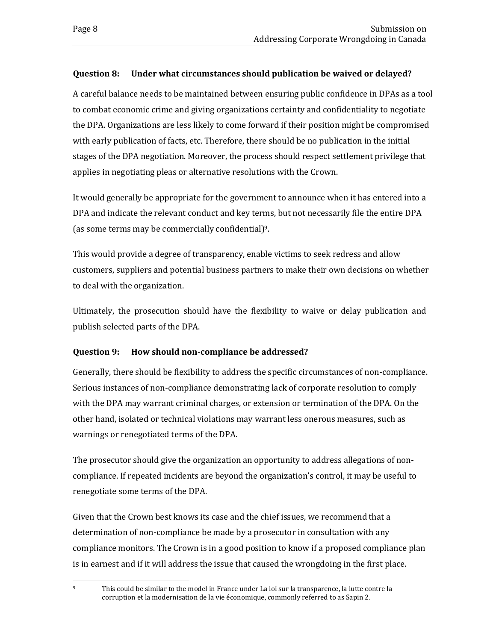#### **Question 8: Under what circumstances should publication be waived or delayed?**

A careful balance needs to be maintained between ensuring public confidence in DPAs as a tool to combat economic crime and giving organizations certainty and confidentiality to negotiate the DPA. Organizations are less likely to come forward if their position might be compromised with early publication of facts, etc. Therefore, there should be no publication in the initial stages of the DPA negotiation. Moreover, the process should respect settlement privilege that applies in negotiating pleas or alternative resolutions with the Crown.

It would generally be appropriate for the government to announce when it has entered into a DPA and indicate the relevant conduct and key terms, but not necessarily file the entire DPA (as some terms may be commercially confidential)9.

This would provide a degree of transparency, enable victims to seek redress and allow customers, suppliers and potential business partners to make their own decisions on whether to deal with the organization.

Ultimately, the prosecution should have the flexibility to waive or delay publication and publish selected parts of the DPA.

#### **Question 9: How should non-compliance be addressed?**

Generally, there should be flexibility to address the specific circumstances of non-compliance. Serious instances of non-compliance demonstrating lack of corporate resolution to comply with the DPA may warrant criminal charges, or extension or termination of the DPA. On the other hand, isolated or technical violations may warrant less onerous measures, such as warnings or renegotiated terms of the DPA.

The prosecutor should give the organization an opportunity to address allegations of noncompliance. If repeated incidents are beyond the organization's control, it may be useful to renegotiate some terms of the DPA.

Given that the Crown best knows its case and the chief issues, we recommend that a determination of non-compliance be made by a prosecutor in consultation with any compliance monitors. The Crown is in a good position to know if a proposed compliance plan is in earnest and if it will address the issue that caused the wrongdoing in the first place.

 $\overline{a}$ <sup>9</sup> This could be similar to the model in France under La loi sur la transparence, la lutte contre la corruption et la modernisation de la vie économique, commonly referred to as Sapin 2.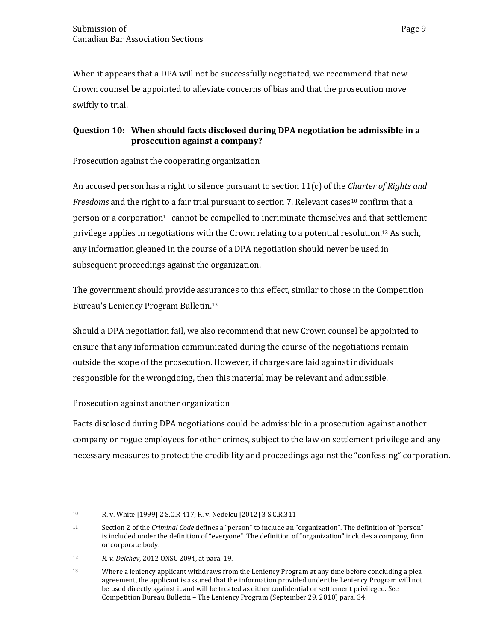When it appears that a DPA will not be successfully negotiated, we recommend that new Crown counsel be appointed to alleviate concerns of bias and that the prosecution move swiftly to trial.

#### **Question 10: When should facts disclosed during DPA negotiation be admissible in a prosecution against a company?**

Prosecution against the cooperating organization

An accused person has a right to silence pursuant to section 11(c) of the *Charter of Rights and Freedoms* and the right to a fair trial pursuant to section 7. Relevant cases<sup>10</sup> confirm that a person or a corporation11 cannot be compelled to incriminate themselves and that settlement privilege applies in negotiations with the Crown relating to a potential resolution.12 As such, any information gleaned in the course of a DPA negotiation should never be used in subsequent proceedings against the organization.

The government should provide assurances to this effect, similar to those in the Competition Bureau's Leniency Program Bulletin.<sup>13</sup>

Should a DPA negotiation fail, we also recommend that new Crown counsel be appointed to ensure that any information communicated during the course of the negotiations remain outside the scope of the prosecution. However, if charges are laid against individuals responsible for the wrongdoing, then this material may be relevant and admissible.

Prosecution against another organization

Facts disclosed during DPA negotiations could be admissible in a prosecution against another company or rogue employees for other crimes, subject to the law on settlement privilege and any necessary measures to protect the credibility and proceedings against the "confessing" corporation.

 $\overline{a}$ <sup>10</sup> R. v. White [1999] 2 S.C.R 417; R. v. Nedelcu [2012] 3 S.C.R.311

<sup>11</sup> Section 2 of the *Criminal Code* defines a "person" to include an "organization". The definition of "person" is included under the definition of "everyone". The definition of "organization" includes a company, firm or corporate body.

<sup>12</sup> *R. v. Delchev*, 2012 ONSC 2094, at para. 19.

<sup>&</sup>lt;sup>13</sup> Where a leniency applicant withdraws from the Leniency Program at any time before concluding a plea agreement, the applicant is assured that the information provided under the Leniency Program will not be used directly against it and will be treated as either confidential or settlement privileged. See Competition Bureau Bulletin – The Leniency Program (September 29, 2010) para. 34.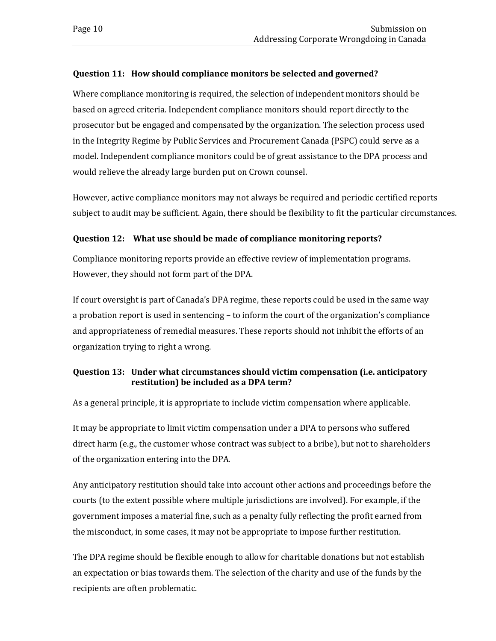#### **Question 11: How should compliance monitors be selected and governed?**

Where compliance monitoring is required, the selection of independent monitors should be based on agreed criteria. Independent compliance monitors should report directly to the prosecutor but be engaged and compensated by the organization. The selection process used in the Integrity Regime by Public Services and Procurement Canada (PSPC) could serve as a model. Independent compliance monitors could be of great assistance to the DPA process and would relieve the already large burden put on Crown counsel.

However, active compliance monitors may not always be required and periodic certified reports subject to audit may be sufficient. Again, there should be flexibility to fit the particular circumstances.

#### **Question 12: What use should be made of compliance monitoring reports?**

Compliance monitoring reports provide an effective review of implementation programs. However, they should not form part of the DPA.

If court oversight is part of Canada's DPA regime, these reports could be used in the same way a probation report is used in sentencing – to inform the court of the organization's compliance and appropriateness of remedial measures. These reports should not inhibit the efforts of an organization trying to right a wrong.

#### **Question 13: Under what circumstances should victim compensation (i.e. anticipatory restitution) be included as a DPA term?**

As a general principle, it is appropriate to include victim compensation where applicable.

It may be appropriate to limit victim compensation under a DPA to persons who suffered direct harm (e.g., the customer whose contract was subject to a bribe), but not to shareholders of the organization entering into the DPA.

Any anticipatory restitution should take into account other actions and proceedings before the courts (to the extent possible where multiple jurisdictions are involved). For example, if the government imposes a material fine, such as a penalty fully reflecting the profit earned from the misconduct, in some cases, it may not be appropriate to impose further restitution.

The DPA regime should be flexible enough to allow for charitable donations but not establish an expectation or bias towards them. The selection of the charity and use of the funds by the recipients are often problematic.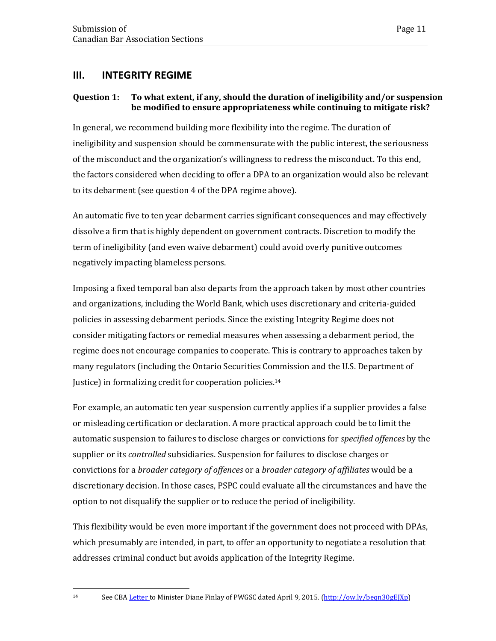## <span id="page-14-0"></span>**III. INTEGRITY REGIME**

#### **Question 1: To what extent, if any, should the duration of ineligibility and/or suspension be modified to ensure appropriateness while continuing to mitigate risk?**

In general, we recommend building more flexibility into the regime. The duration of ineligibility and suspension should be commensurate with the public interest, the seriousness of the misconduct and the organization's willingness to redress the misconduct. To this end, the factors considered when deciding to offer a DPA to an organization would also be relevant to its debarment (see question 4 of the DPA regime above).

An automatic five to ten year debarment carries significant consequences and may effectively dissolve a firm that is highly dependent on government contracts. Discretion to modify the term of ineligibility (and even waive debarment) could avoid overly punitive outcomes negatively impacting blameless persons.

Imposing a fixed temporal ban also departs from the approach taken by most other countries and organizations, including the World Bank, which uses discretionary and criteria-guided policies in assessing debarment periods. Since the existing Integrity Regime does not consider mitigating factors or remedial measures when assessing a debarment period, the regime does not encourage companies to cooperate. This is contrary to approaches taken by many regulators (including the Ontario Securities Commission and the U.S. Department of Justice) in formalizing credit for cooperation policies.<sup>14</sup>

For example, an automatic ten year suspension currently applies if a supplier provides a false or misleading certification or declaration. A more practical approach could be to limit the automatic suspension to failures to disclose charges or convictions for *specified offences* by the supplier or its *controlled* subsidiaries. Suspension for failures to disclose charges or convictions for a *broader category of offences* or a *broader category of affiliates* would be a discretionary decision. In those cases, PSPC could evaluate all the circumstances and have the option to not disqualify the supplier or to reduce the period of ineligibility.

This flexibility would be even more important if the government does not proceed with DPAs, which presumably are intended, in part, to offer an opportunity to negotiate a resolution that addresses criminal conduct but avoids application of the Integrity Regime.

l

<sup>14</sup> See CB[A Letter t](http://www.cba.org/Our-Work/Submissions-(1)/Submissions/2015/January-to-May/Government-of-Canada-(Public-Works)-Integrity-Fram)o Minister Diane Finlay of PWGSC dated April 9, 2015. [\(http://ow.ly/beqn30gEJXp\)](http://ow.ly/beqn30gEJXp)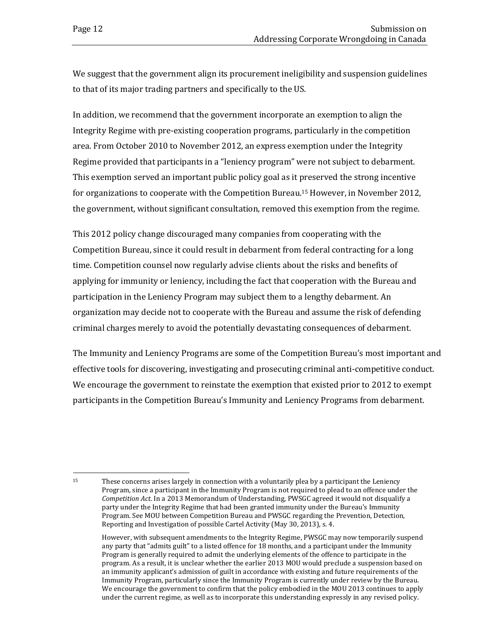$\overline{a}$ 

We suggest that the government align its procurement ineligibility and suspension guidelines to that of its major trading partners and specifically to the US.

In addition, we recommend that the government incorporate an exemption to align the Integrity Regime with pre-existing cooperation programs, particularly in the competition area. From October 2010 to November 2012, an express exemption under the Integrity Regime provided that participants in a "leniency program" were not subject to debarment. This exemption served an important public policy goal as it preserved the strong incentive for organizations to cooperate with the Competition Bureau.15 However, in November 2012, the government, without significant consultation, removed this exemption from the regime.

This 2012 policy change discouraged many companies from cooperating with the Competition Bureau, since it could result in debarment from federal contracting for a long time. Competition counsel now regularly advise clients about the risks and benefits of applying for immunity or leniency, including the fact that cooperation with the Bureau and participation in the Leniency Program may subject them to a lengthy debarment. An organization may decide not to cooperate with the Bureau and assume the risk of defending criminal charges merely to avoid the potentially devastating consequences of debarment.

The Immunity and Leniency Programs are some of the Competition Bureau's most important and effective tools for discovering, investigating and prosecuting criminal anti-competitive conduct. We encourage the government to reinstate the exemption that existed prior to 2012 to exempt participants in the Competition Bureau's Immunity and Leniency Programs from debarment.

<sup>15</sup> These concerns arises largely in connection with a voluntarily plea by a participant the Leniency Program, since a participant in the Immunity Program is not required to plead to an offence under the *Competition Act*. In a 2013 Memorandum of Understanding, PWSGC agreed it would not disqualify a party under the Integrity Regime that had been granted immunity under the Bureau's Immunity Program. See MOU between Competition Bureau and PWSGC regarding the Prevention, Detection, Reporting and Investigation of possible Cartel Activity (May 30, 2013), s. 4.

However, with subsequent amendments to the Integrity Regime, PWSGC may now temporarily suspend any party that "admits guilt" to a listed offence for 18 months, and a participant under the Immunity Program is generally required to admit the underlying elements of the offence to participate in the program. As a result, it is unclear whether the earlier 2013 MOU would preclude a suspension based on an immunity applicant's admission of guilt in accordance with existing and future requirements of the Immunity Program, particularly since the Immunity Program is currently under review by the Bureau. We encourage the government to confirm that the policy embodied in the MOU 2013 continues to apply under the current regime, as well as to incorporate this understanding expressly in any revised policy.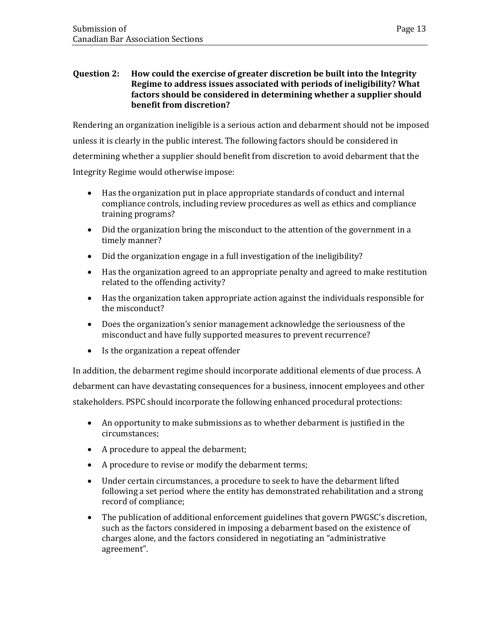#### **Question 2: How could the exercise of greater discretion be built into the Integrity Regime to address issues associated with periods of ineligibility? What factors should be considered in determining whether a supplier should benefit from discretion?**

Rendering an organization ineligible is a serious action and debarment should not be imposed unless it is clearly in the public interest. The following factors should be considered in determining whether a supplier should benefit from discretion to avoid debarment that the Integrity Regime would otherwise impose:

- Has the organization put in place appropriate standards of conduct and internal compliance controls, including review procedures as well as ethics and compliance training programs?
- Did the organization bring the misconduct to the attention of the government in a timely manner?
- Did the organization engage in a full investigation of the ineligibility?
- Has the organization agreed to an appropriate penalty and agreed to make restitution related to the offending activity?
- Has the organization taken appropriate action against the individuals responsible for the misconduct?
- Does the organization's senior management acknowledge the seriousness of the misconduct and have fully supported measures to prevent recurrence?
- Is the organization a repeat offender

In addition, the debarment regime should incorporate additional elements of due process. A debarment can have devastating consequences for a business, innocent employees and other stakeholders. PSPC should incorporate the following enhanced procedural protections:

- An opportunity to make submissions as to whether debarment is justified in the circumstances;
- A procedure to appeal the debarment;
- A procedure to revise or modify the debarment terms;
- Under certain circumstances, a procedure to seek to have the debarment lifted following a set period where the entity has demonstrated rehabilitation and a strong record of compliance;
- The publication of additional enforcement guidelines that govern PWGSC's discretion, such as the factors considered in imposing a debarment based on the existence of charges alone, and the factors considered in negotiating an "administrative agreement".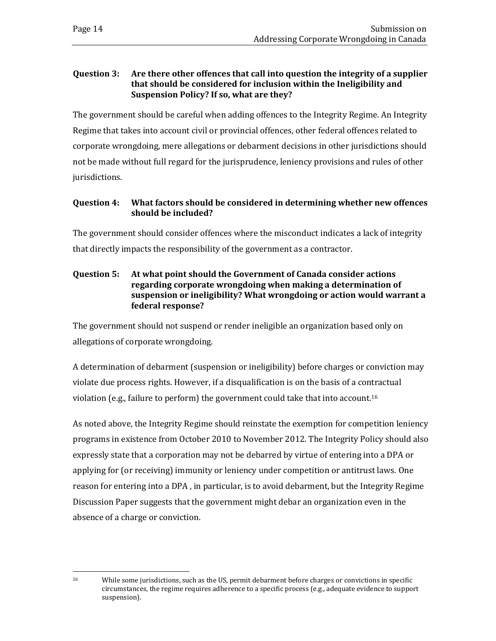#### **Question 3: Are there other offences that call into question the integrity of a supplier that should be considered for inclusion within the Ineligibility and Suspension Policy? If so, what are they?**

The government should be careful when adding offences to the Integrity Regime. An Integrity Regime that takes into account civil or provincial offences, other federal offences related to corporate wrongdoing, mere allegations or debarment decisions in other jurisdictions should not be made without full regard for the jurisprudence, leniency provisions and rules of other jurisdictions.

#### **Question 4: What factors should be considered in determining whether new offences should be included?**

The government should consider offences where the misconduct indicates a lack of integrity that directly impacts the responsibility of the government as a contractor.

#### **Question 5: At what point should the Government of Canada consider actions regarding corporate wrongdoing when making a determination of suspension or ineligibility? What wrongdoing or action would warrant a federal response?**

The government should not suspend or render ineligible an organization based only on allegations of corporate wrongdoing.

A determination of debarment (suspension or ineligibility) before charges or conviction may violate due process rights. However, if a disqualification is on the basis of a contractual violation (e.g., failure to perform) the government could take that into account.<sup>16</sup>

As noted above, the Integrity Regime should reinstate the exemption for competition leniency programs in existence from October 2010 to November 2012. The Integrity Policy should also expressly state that a corporation may not be debarred by virtue of entering into a DPA or applying for (or receiving) immunity or leniency under competition or antitrust laws. One reason for entering into a DPA , in particular, is to avoid debarment, but the Integrity Regime Discussion Paper suggests that the government might debar an organization even in the absence of a charge or conviction.

 $\overline{a}$ 

<sup>&</sup>lt;sup>16</sup> While some jurisdictions, such as the US, permit debarment before charges or convictions in specific circumstances, the regime requires adherence to a specific process (e.g., adequate evidence to support suspension).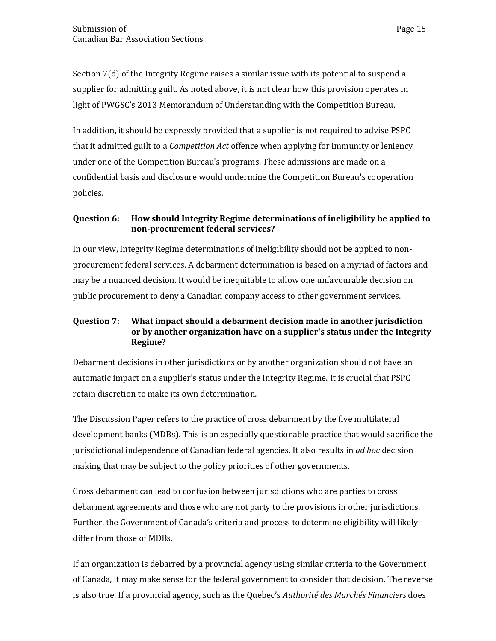Section 7(d) of the Integrity Regime raises a similar issue with its potential to suspend a supplier for admitting guilt. As noted above, it is not clear how this provision operates in light of PWGSC's 2013 Memorandum of Understanding with the Competition Bureau.

In addition, it should be expressly provided that a supplier is not required to advise PSPC that it admitted guilt to a *Competition Act* offence when applying for immunity or leniency under one of the Competition Bureau's programs. These admissions are made on a confidential basis and disclosure would undermine the Competition Bureau's cooperation policies.

#### **Question 6: How should Integrity Regime determinations of ineligibility be applied to non-procurement federal services?**

In our view, Integrity Regime determinations of ineligibility should not be applied to nonprocurement federal services. A debarment determination is based on a myriad of factors and may be a nuanced decision. It would be inequitable to allow one unfavourable decision on public procurement to deny a Canadian company access to other government services.

#### **Question 7: What impact should a debarment decision made in another jurisdiction or by another organization have on a supplier's status under the Integrity Regime?**

Debarment decisions in other jurisdictions or by another organization should not have an automatic impact on a supplier's status under the Integrity Regime. It is crucial that PSPC retain discretion to make its own determination.

The Discussion Paper refers to the practice of cross debarment by the five multilateral development banks (MDBs). This is an especially questionable practice that would sacrifice the jurisdictional independence of Canadian federal agencies. It also results in *ad hoc* decision making that may be subject to the policy priorities of other governments.

Cross debarment can lead to confusion between jurisdictions who are parties to cross debarment agreements and those who are not party to the provisions in other jurisdictions. Further, the Government of Canada's criteria and process to determine eligibility will likely differ from those of MDBs.

If an organization is debarred by a provincial agency using similar criteria to the Government of Canada, it may make sense for the federal government to consider that decision. The reverse is also true. If a provincial agency, such as the Quebec's *Authorité des Marchés Financiers* does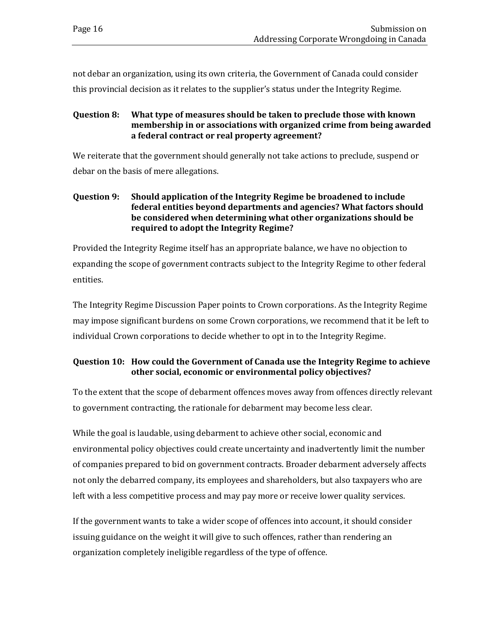not debar an organization, using its own criteria, the Government of Canada could consider this provincial decision as it relates to the supplier's status under the Integrity Regime.

#### **Question 8: What type of measures should be taken to preclude those with known membership in or associations with organized crime from being awarded a federal contract or real property agreement?**

We reiterate that the government should generally not take actions to preclude, suspend or debar on the basis of mere allegations.

#### **Question 9: Should application of the Integrity Regime be broadened to include federal entities beyond departments and agencies? What factors should be considered when determining what other organizations should be required to adopt the Integrity Regime?**

Provided the Integrity Regime itself has an appropriate balance, we have no objection to expanding the scope of government contracts subject to the Integrity Regime to other federal entities.

The Integrity Regime Discussion Paper points to Crown corporations. As the Integrity Regime may impose significant burdens on some Crown corporations, we recommend that it be left to individual Crown corporations to decide whether to opt in to the Integrity Regime.

#### **Question 10: How could the Government of Canada use the Integrity Regime to achieve other social, economic or environmental policy objectives?**

To the extent that the scope of debarment offences moves away from offences directly relevant to government contracting, the rationale for debarment may become less clear.

While the goal is laudable, using debarment to achieve other social, economic and environmental policy objectives could create uncertainty and inadvertently limit the number of companies prepared to bid on government contracts. Broader debarment adversely affects not only the debarred company, its employees and shareholders, but also taxpayers who are left with a less competitive process and may pay more or receive lower quality services.

If the government wants to take a wider scope of offences into account, it should consider issuing guidance on the weight it will give to such offences, rather than rendering an organization completely ineligible regardless of the type of offence.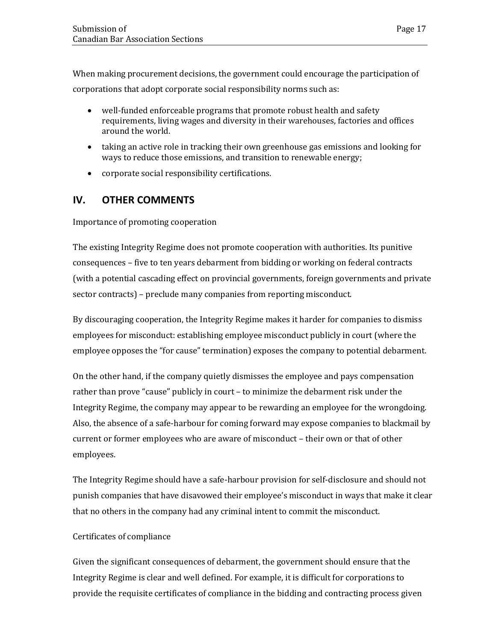When making procurement decisions, the government could encourage the participation of corporations that adopt corporate social responsibility norms such as:

- well-funded enforceable programs that promote robust health and safety requirements, living wages and diversity in their warehouses, factories and offices around the world.
- taking an active role in tracking their own greenhouse gas emissions and looking for ways to reduce those emissions, and transition to renewable energy;
- corporate social responsibility certifications.

## **IV. OTHER COMMENTS**

#### Importance of promoting cooperation

The existing Integrity Regime does not promote cooperation with authorities. Its punitive consequences – five to ten years debarment from bidding or working on federal contracts (with a potential cascading effect on provincial governments, foreign governments and private sector contracts) – preclude many companies from reporting misconduct.

By discouraging cooperation, the Integrity Regime makes it harder for companies to dismiss employees for misconduct: establishing employee misconduct publicly in court (where the employee opposes the "for cause" termination) exposes the company to potential debarment.

On the other hand, if the company quietly dismisses the employee and pays compensation rather than prove "cause" publicly in court – to minimize the debarment risk under the Integrity Regime, the company may appear to be rewarding an employee for the wrongdoing. Also, the absence of a safe-harbour for coming forward may expose companies to blackmail by current or former employees who are aware of misconduct – their own or that of other employees.

The Integrity Regime should have a safe-harbour provision for self-disclosure and should not punish companies that have disavowed their employee's misconduct in ways that make it clear that no others in the company had any criminal intent to commit the misconduct.

#### Certificates of compliance

Given the significant consequences of debarment, the government should ensure that the Integrity Regime is clear and well defined. For example, it is difficult for corporations to provide the requisite certificates of compliance in the bidding and contracting process given